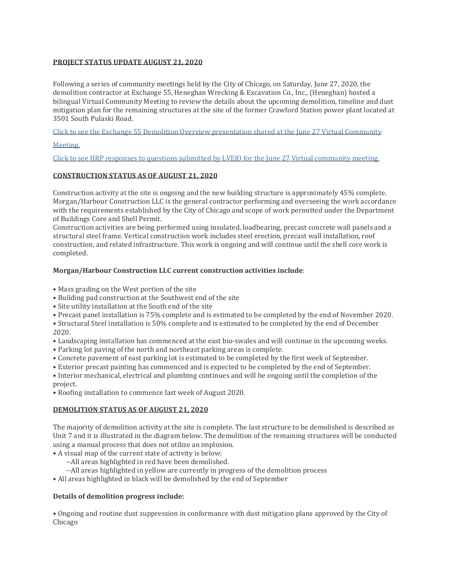## **PROJECT STATUS UPDATE AUGUST 21, 2020**

Following a series of community meetings held by the City of Chicago, on Saturday, June 27, 2020, the demolition contractor at Exchange 55, Heneghan Wrecking & Excavation Co., Inc., (Heneghan) hosted a bilingual Virtual Community Meeting to review the details about the upcoming demolition, timeline and dust mitigation plan for the remaining structures at the site of the former Crawford Station power plant located at 3501 South Pulaski Road.

Click to see the Exchange 55 Demolition Overview [presentation](https://www.crawfordstation.com/wp-content/uploads/2020/07/Exchange-55-UNIT-7-Demolition-Final-6.27.30-Final-copy.pdf) shared at the June 27 Virtual Community

#### [Meeting.](https://www.crawfordstation.com/wp-content/uploads/2020/07/Exchange-55-UNIT-7-Demolition-Final-6.27.30-Final-copy.pdf)

Click to see HRP responses to questions submitted by LVEJO for the June 27 Virtual [community](https://www.crawfordstation.com/wp-content/uploads/2020/07/LVEJO__Hilco_Questions_Eng.pdf) meeting.

## **CONSTRUCTION STATUS AS OF AUGUST 21, 2020**

Construction activity at the site is ongoing and the new building structure is approximately 45% complete. Morgan/Harbour Construction LLC is the general contractor performing and overseeing the work accordance with the requirements established by the City of Chicago and scope of work permitted under the Department of Buildings Core and Shell Permit.

Construction activities are being performed using insulated, loadbearing, precast concrete wall panels and a structural steel frame. Vertical construction work includes steel erection, precast wall installation, roof construction, and related infrastructure. This work is ongoing and will continue until the shell core work is completed.

## **Morgan/Harbour Construction LLC current construction activities include**:

- Mass grading on the West portion of the site
- Building pad construction at the Southwest end of the site
- Site utility installation at the South end of the site
- Precast panel installation is 75% complete and is estimated to be completed by the end of November 2020.

• Structural Steel installation is 50% complete and is estimated to be completed by the end of December 2020.

- Landscaping installation has commenced at the east bio-swales and will continue in the upcoming weeks.
- Parking lot paving of the north and northeast parking areas is complete.
- Concrete pavement of east parking lot is estimated to be completed by the first week of September.
- Exterior precast painting has commenced and is expected to be completed by the end of September.

• Interior mechanical, electrical and plumbing continues and will be ongoing until the completion of the project.

• Roofing installation to commence last week of August 2020.

#### **DEMOLITION STATUS AS OF AUGUST 21, 2020**

The majority of demolition activity at the site is complete. The last structure to be demolished is described as Unit 7 and it is illustrated in the diagram below. The demolition of the remaining structures will be conducted using a manual process that does not utilize an implosion.

• A visual map of the current state of activity is below:

- --All areas highlighted in red have been demolished.
- --All areas highlighted in yellow are currently in progress of the demolition process

• All areas highlighted in black will be demolished by the end of September

# **Details of demolition progress include:**

• Ongoing and routine dust suppression in conformance with dust mitigation plans approved by the City of Chicago